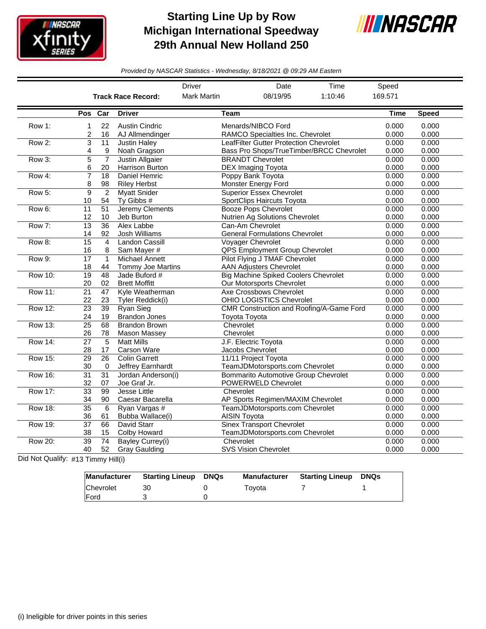

## **Starting Line Up by Row Michigan International Speedway 29th Annual New Holland 250**



*Provided by NASCAR Statistics - Wednesday, 8/18/2021 @ 09:29 AM Eastern*

|                |                 |                 |                           | <b>Driver</b>      | Date                                        | Time    | Speed       |              |
|----------------|-----------------|-----------------|---------------------------|--------------------|---------------------------------------------|---------|-------------|--------------|
|                |                 |                 | <b>Track Race Record:</b> | <b>Mark Martin</b> | 08/19/95                                    | 1:10:46 | 169.571     |              |
|                | Pos Car         |                 | <b>Driver</b>             | Team               |                                             |         | <b>Time</b> | <b>Speed</b> |
| Row 1:         | 1               | 22              | <b>Austin Cindric</b>     |                    | Menards/NIBCO Ford                          |         | 0.000       | 0.000        |
|                | 2               | 16              | AJ Allmendinger           |                    | RAMCO Specialties Inc. Chevrolet            |         | 0.000       | 0.000        |
| Row 2:         | 3               | $\overline{11}$ | <b>Justin Haley</b>       |                    | LeafFilter Gutter Protection Chevrolet      |         | 0.000       | 0.000        |
|                | 4               | 9               | Noah Gragson              |                    | Bass Pro Shops/TrueTimber/BRCC Chevrolet    |         | 0.000       | 0.000        |
| Row 3:         | 5               | $\overline{7}$  | Justin Allgaier           |                    | <b>BRANDT Chevrolet</b>                     |         | 0.000       | 0.000        |
|                | 6               | 20              | Harrison Burton           |                    | DEX Imaging Toyota                          |         | 0.000       | 0.000        |
| Row 4:         | 7               | 18              | Daniel Hemric             |                    | Poppy Bank Toyota                           |         | 0.000       | 0.000        |
|                | 8               | 98              | <b>Riley Herbst</b>       |                    | Monster Energy Ford                         |         | 0.000       | 0.000        |
| Row 5:         | 9               | $\overline{2}$  | <b>Myatt Snider</b>       |                    | <b>Superior Essex Chevrolet</b>             |         | 0.000       | 0.000        |
|                | 10              | 54              | Ty Gibbs #                |                    | SportClips Haircuts Toyota                  |         | 0.000       | 0.000        |
| Row 6:         | 11              | 51              | Jeremy Clements           |                    | <b>Booze Pops Chevrolet</b>                 |         | 0.000       | 0.000        |
|                | 12              | 10              | Jeb Burton                |                    | Nutrien Ag Solutions Chevrolet              |         | 0.000       | 0.000        |
| Row 7:         | 13              | $\overline{36}$ | Alex Labbe                |                    | Can-Am Chevrolet                            |         | 0.000       | 0.000        |
|                | 14              | 92              | Josh Williams             |                    | <b>General Formulations Chevrolet</b>       |         | 0.000       | 0.000        |
| Row 8:         | 15              | $\overline{4}$  | Landon Cassill            |                    | <b>Voyager Chevrolet</b>                    |         | 0.000       | 0.000        |
|                | 16              | 8               | Sam Mayer #               |                    | QPS Employment Group Chevrolet              |         | 0.000       | 0.000        |
| Row 9:         | $\overline{17}$ | $\mathbf{1}$    | Michael Annett            |                    | Pilot Flying J TMAF Chevrolet               |         | 0.000       | 0.000        |
|                | 18              | 44              | Tommy Joe Martins         |                    | <b>AAN Adjusters Chevrolet</b>              |         | 0.000       | 0.000        |
| <b>Row 10:</b> | $\overline{19}$ | 48              | Jade Buford #             |                    | <b>Big Machine Spiked Coolers Chevrolet</b> |         | 0.000       | 0.000        |
|                | 20              | 02              | <b>Brett Moffitt</b>      |                    | Our Motorsports Chevrolet                   |         | 0.000       | 0.000        |
| <b>Row 11:</b> | $\overline{21}$ | 47              | Kyle Weatherman           |                    | Axe Crossbows Chevrolet                     |         | 0.000       | 0.000        |
|                | 22              | 23              | Tyler Reddick(i)          |                    | <b>OHIO LOGISTICS Chevrolet</b>             |         | 0.000       | 0.000        |
| <b>Row 12:</b> | 23              | 39              | <b>Ryan Sieg</b>          |                    | CMR Construction and Roofing/A-Game Ford    |         | 0.000       | 0.000        |
|                | 24              | 19              | <b>Brandon Jones</b>      |                    | Toyota Toyota                               |         | 0.000       | 0.000        |
| Row 13:        | $\overline{25}$ | 68              | <b>Brandon Brown</b>      | Chevrolet          |                                             |         | 0.000       | 0.000        |
|                | 26              | 78              | Mason Massey              | Chevrolet          |                                             |         | 0.000       | 0.000        |
| <b>Row 14:</b> | $\overline{27}$ | $\overline{5}$  | <b>Matt Mills</b>         |                    | J.F. Electric Toyota                        |         | 0.000       | 0.000        |
|                | 28              | 17              | <b>Carson Ware</b>        |                    | Jacobs Chevrolet                            |         | 0.000       | 0.000        |
| <b>Row 15:</b> | $\overline{29}$ | 26              | <b>Colin Garrett</b>      |                    | 11/11 Project Toyota                        |         | 0.000       | 0.000        |
|                | 30              | 0               | Jeffrey Earnhardt         |                    | TeamJDMotorsports.com Chevrolet             |         | 0.000       | 0.000        |
| <b>Row 16:</b> | $\overline{31}$ | 31              | Jordan Anderson(i)        |                    | <b>Bommarito Automotive Group Chevrolet</b> |         | 0.000       | 0.000        |
|                | 32              | 07              | Joe Graf Jr.              |                    | POWERWELD Chevrolet                         |         | 0.000       | 0.000        |
| <b>Row 17:</b> | $\overline{33}$ | 99              | <b>Jesse Little</b>       | Chevrolet          |                                             |         | 0.000       | 0.000        |
|                | 34              | 90              | Caesar Bacarella          |                    | AP Sports Regimen/MAXIM Chevrolet           |         | 0.000       | 0.000        |
| <b>Row 18:</b> | $\overline{35}$ | 6               | Ryan Vargas #             |                    | TeamJDMotorsports.com Chevrolet             |         | 0.000       | 0.000        |
|                | 36              | 61              | Bubba Wallace(i)          |                    | <b>AISIN Toyota</b>                         |         | 0.000       | 0.000        |
| Row 19:        | $\overline{37}$ | 66              | <b>David Starr</b>        |                    | <b>Sinex Transport Chevrolet</b>            |         | 0.000       | 0.000        |
|                | 38              | 15              | Colby Howard              |                    | TeamJDMotorsports.com Chevrolet             |         | 0.000       | 0.000        |
| <b>Row 20:</b> | $\overline{39}$ | 74              | <b>Bayley Currey(i)</b>   | Chevrolet          |                                             |         | 0.000       | 0.000        |
|                | 40              | 52              | <b>Gray Gaulding</b>      |                    | <b>SVS Vision Chevrolet</b>                 |         | 0.000       | 0.000        |

Did Not Qualify: #13 Timmy Hill(i)

|              | Manufacturer Starting Lineup | DNQs | <b>Manufacturer</b> | <b>Starting Lineup</b> | DNQs |
|--------------|------------------------------|------|---------------------|------------------------|------|
| Chevrolet    | 30                           |      | Tovota              |                        |      |
| <b>IFord</b> |                              |      |                     |                        |      |